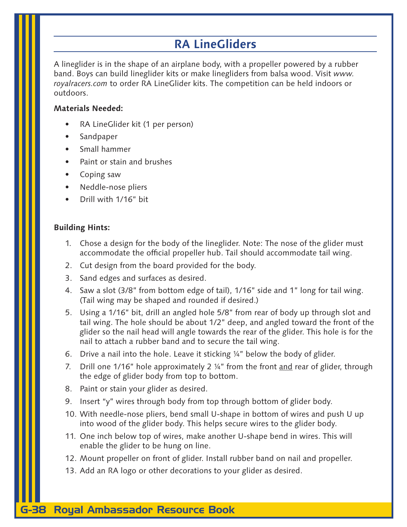## **RA LineGliders**

A lineglider is in the shape of an airplane body, with a propeller powered by a rubber band. Boys can build lineglider kits or make linegliders from balsa wood. Visit *www. royalracers.com* to order RA LineGlider kits. The competition can be held indoors or outdoors.

#### **Materials Needed:**

- RA LineGlider kit (1 per person)
- **Sandpaper**
- Small hammer
- Paint or stain and brushes
- Coping saw
- Neddle-nose pliers
- Drill with 1/16" bit

#### **Building Hints:**

- 1. Chose a design for the body of the lineglider. Note: The nose of the glider must accommodate the official propeller hub. Tail should accommodate tail wing.
- 2. Cut design from the board provided for the body.
- 3. Sand edges and surfaces as desired.
- 4. Saw a slot (3/8" from bottom edge of tail), 1/16" side and 1" long for tail wing. (Tail wing may be shaped and rounded if desired.)
- 5. Using a 1/16" bit, drill an angled hole 5/8" from rear of body up through slot and tail wing. The hole should be about 1/2" deep, and angled toward the front of the glider so the nail head will angle towards the rear of the glider. This hole is for the nail to attach a rubber band and to secure the tail wing.
- 6. Drive a nail into the hole. Leave it sticking ¼" below the body of glider.
- 7. Drill one 1/16" hole approximately 2 ¼" from the front and rear of glider, through the edge of glider body from top to bottom.
- 8. Paint or stain your glider as desired.
- 9. Insert "y" wires through body from top through bottom of glider body.
- 10. With needle-nose pliers, bend small U-shape in bottom of wires and push U up into wood of the glider body. This helps secure wires to the glider body.
- 11. One inch below top of wires, make another U-shape bend in wires. This will enable the glider to be hung on line.
- 12. Mount propeller on front of glider. Install rubber band on nail and propeller.
- 13. Add an RA logo or other decorations to your glider as desired.

## G-38 Royal Ambassador Resource Book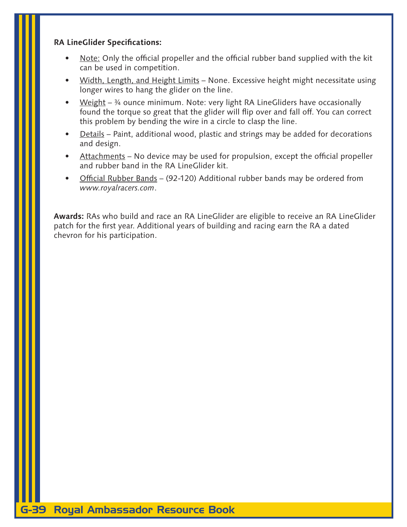## **RA LineGlider Specifications:**

- Note: Only the official propeller and the official rubber band supplied with the kit can be used in competition.
- Width, Length, and Height Limits None. Excessive height might necessitate using longer wires to hang the glider on the line.
- Weight  $-$  <sup>34</sup> ounce minimum. Note: very light RA LineGliders have occasionally found the torque so great that the glider will flip over and fall off. You can correct this problem by bending the wire in a circle to clasp the line.
- Details Paint, additional wood, plastic and strings may be added for decorations and design.
- Attachments No device may be used for propulsion, except the official propeller and rubber band in the RA LineGlider kit.
- Official Rubber Bands (92-120) Additional rubber bands may be ordered from *www.royalracers.com*.

**Awards:** RAs who build and race an RA LineGlider are eligible to receive an RA LineGlider patch for the first year. Additional years of building and racing earn the RA a dated chevron for his participation.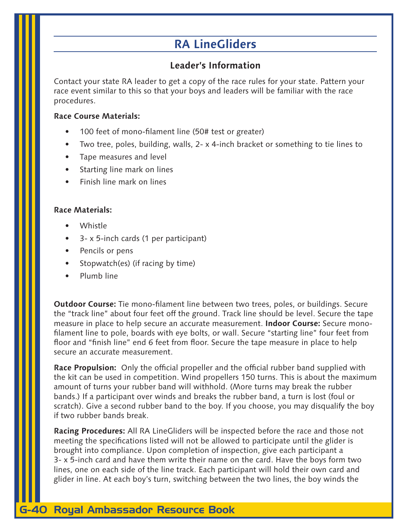# **RA LineGliders**

## **Leader's Information**

Contact your state RA leader to get a copy of the race rules for your state. Pattern your race event similar to this so that your boys and leaders will be familiar with the race procedures.

### **Race Course Materials:**

- 100 feet of mono-filament line (50# test or greater)
- Two tree, poles, building, walls, 2- x 4-inch bracket or something to tie lines to
- Tape measures and level
- Starting line mark on lines
- Finish line mark on lines

## **Race Materials:**

- Whistle
- 3- x 5-inch cards (1 per participant)
- Pencils or pens
- Stopwatch(es) (if racing by time)
- Plumb line

**Outdoor Course:** Tie mono-filament line between two trees, poles, or buildings. Secure the "track line" about four feet off the ground. Track line should be level. Secure the tape measure in place to help secure an accurate measurement. **Indoor Course:** Secure monofilament line to pole, boards with eye bolts, or wall. Secure "starting line" four feet from floor and "finish line" end 6 feet from floor. Secure the tape measure in place to help secure an accurate measurement.

**Race Propulsion:** Only the official propeller and the official rubber band supplied with the kit can be used in competition. Wind propellers 150 turns. This is about the maximum amount of turns your rubber band will withhold. (More turns may break the rubber bands.) If a participant over winds and breaks the rubber band, a turn is lost (foul or scratch). Give a second rubber band to the boy. If you choose, you may disqualify the boy if two rubber bands break.

**Racing Procedures:** All RA LineGliders will be inspected before the race and those not meeting the specifications listed will not be allowed to participate until the glider is brought into compliance. Upon completion of inspection, give each participant a 3- x 5-inch card and have them write their name on the card. Have the boys form two lines, one on each side of the line track. Each participant will hold their own card and glider in line. At each boy's turn, switching between the two lines, the boy winds the

## G-40 Royal Ambassador Resource Book